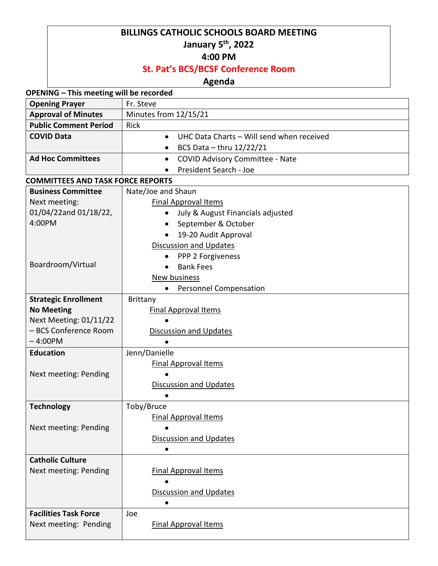#### **BILLINGS CATHOLIC SCHOOLS BOARD MEETING January 5 th, 2022**

#### **4:00 PM**

## **St. Pat's BCS/BCSF Conference Room**

## **Agenda**

| <b>OPENING - This meeting will be recorded</b> |  |
|------------------------------------------------|--|
|------------------------------------------------|--|

| <b>Opening Prayer</b>                    | Fr. Steve                                              |  |
|------------------------------------------|--------------------------------------------------------|--|
| <b>Approval of Minutes</b>               | Minutes from 12/15/21                                  |  |
| <b>Public Comment Period</b>             | Rick                                                   |  |
| <b>COVID Data</b>                        | UHC Data Charts - Will send when received<br>$\bullet$ |  |
|                                          | BCS Data $-$ thru 12/22/21                             |  |
| <b>Ad Hoc Committees</b>                 | <b>COVID Advisory Committee - Nate</b><br>$\bullet$    |  |
|                                          | President Search - Joe                                 |  |
| <b>COMMITTEES AND TASK FORCE REPORTS</b> |                                                        |  |
| <b>Business Committee</b>                | Nate/Joe and Shaun                                     |  |
| Next meeting:                            | <b>Final Approval Items</b>                            |  |
| 01/04/22and 01/18/22,                    | July & August Financials adjusted<br>$\bullet$         |  |
| 4:00PM                                   | September & October                                    |  |
|                                          | 19-20 Audit Approval<br>$\bullet$                      |  |
|                                          | <b>Discussion and Updates</b>                          |  |
|                                          | PPP 2 Forgiveness<br>$\bullet$                         |  |
| Boardroom/Virtual                        | <b>Bank Fees</b><br>$\bullet$                          |  |
|                                          | <b>New business</b>                                    |  |
|                                          | <b>Personnel Compensation</b>                          |  |
| <b>Strategic Enrollment</b>              | <b>Brittany</b>                                        |  |
| <b>No Meeting</b>                        | <b>Final Approval Items</b>                            |  |
| Next Meeting: 01/11/22                   |                                                        |  |
| - BCS Conference Room                    | <b>Discussion and Updates</b>                          |  |
| $-4:00PM$                                | $\bullet$                                              |  |
| <b>Education</b>                         | Jenn/Danielle                                          |  |
|                                          | <b>Final Approval Items</b>                            |  |
| Next meeting: Pending                    |                                                        |  |
|                                          | Discussion and Updates                                 |  |
|                                          |                                                        |  |
| <b>Technology</b>                        | Toby/Bruce                                             |  |
|                                          | <b>Final Approval Items</b>                            |  |
| Next meeting: Pending                    |                                                        |  |
|                                          | <b>Discussion and Updates</b>                          |  |
| <b>Catholic Culture</b>                  | $\bullet$                                              |  |
| Next meeting: Pending                    |                                                        |  |
|                                          | <b>Final Approval Items</b>                            |  |
|                                          | <b>Discussion and Updates</b>                          |  |
|                                          |                                                        |  |
| <b>Facilities Task Force</b>             | Joe                                                    |  |
| Next meeting: Pending                    | <b>Final Approval Items</b>                            |  |
|                                          |                                                        |  |